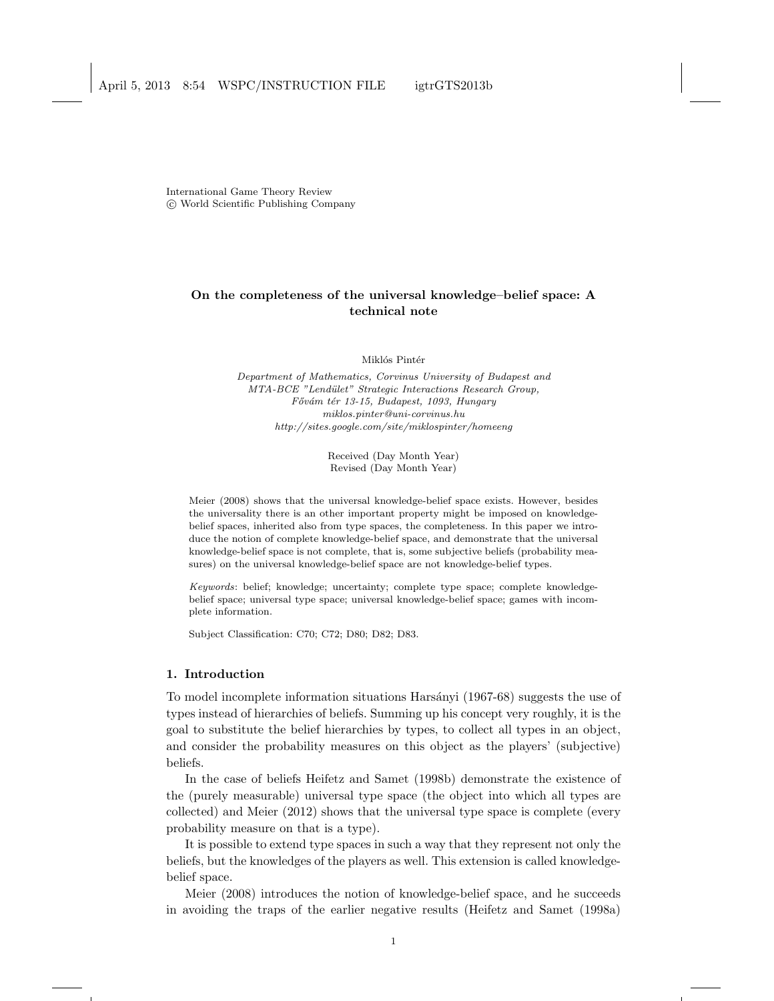International Game Theory Review c World Scientific Publishing Company

# On the completeness of the universal knowledge–belief space: A technical note

Miklós Pintér

Department of Mathematics, Corvinus University of Budapest and MTA-BCE "Lend¨ulet" Strategic Interactions Research Group, Fővám tér 13-15, Budapest, 1093, Hungary miklos.pinter@uni-corvinus.hu http://sites.google.com/site/miklospinter/homeeng

> Received (Day Month Year) Revised (Day Month Year)

Meier (2008) shows that the universal knowledge-belief space exists. However, besides the universality there is an other important property might be imposed on knowledgebelief spaces, inherited also from type spaces, the completeness. In this paper we introduce the notion of complete knowledge-belief space, and demonstrate that the universal knowledge-belief space is not complete, that is, some subjective beliefs (probability measures) on the universal knowledge-belief space are not knowledge-belief types.

Keywords: belief; knowledge; uncertainty; complete type space; complete knowledgebelief space; universal type space; universal knowledge-belief space; games with incomplete information.

Subject Classification: C70; C72; D80; D82; D83.

# 1. Introduction

To model incomplete information situations Harsányi (1967-68) suggests the use of types instead of hierarchies of beliefs. Summing up his concept very roughly, it is the goal to substitute the belief hierarchies by types, to collect all types in an object, and consider the probability measures on this object as the players' (subjective) beliefs.

In the case of beliefs Heifetz and Samet (1998b) demonstrate the existence of the (purely measurable) universal type space (the object into which all types are collected) and Meier (2012) shows that the universal type space is complete (every probability measure on that is a type).

It is possible to extend type spaces in such a way that they represent not only the beliefs, but the knowledges of the players as well. This extension is called knowledgebelief space.

Meier (2008) introduces the notion of knowledge-belief space, and he succeeds in avoiding the traps of the earlier negative results (Heifetz and Samet (1998a)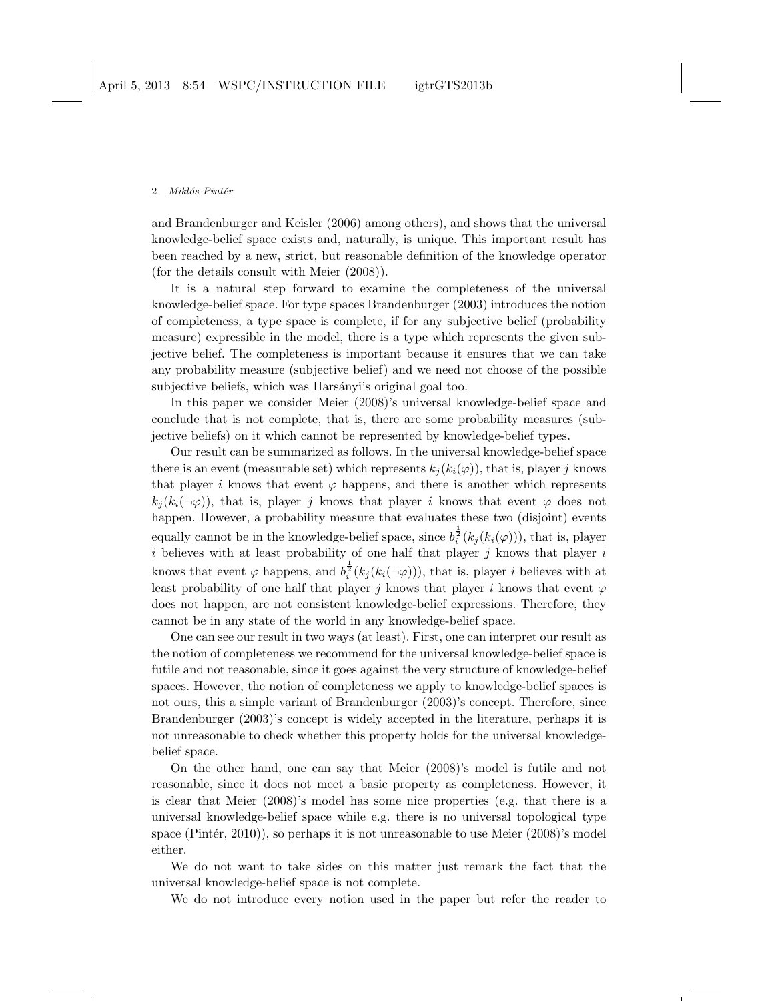#### 2 Miklós Pintér

and Brandenburger and Keisler (2006) among others), and shows that the universal knowledge-belief space exists and, naturally, is unique. This important result has been reached by a new, strict, but reasonable definition of the knowledge operator (for the details consult with Meier (2008)).

It is a natural step forward to examine the completeness of the universal knowledge-belief space. For type spaces Brandenburger (2003) introduces the notion of completeness, a type space is complete, if for any subjective belief (probability measure) expressible in the model, there is a type which represents the given subjective belief. The completeness is important because it ensures that we can take any probability measure (subjective belief) and we need not choose of the possible subjective beliefs, which was Harsányi's original goal too.

In this paper we consider Meier (2008)'s universal knowledge-belief space and conclude that is not complete, that is, there are some probability measures (subjective beliefs) on it which cannot be represented by knowledge-belief types.

Our result can be summarized as follows. In the universal knowledge-belief space there is an event (measurable set) which represents  $k_i (k_i(\varphi))$ , that is, player j knows that player i knows that event  $\varphi$  happens, and there is another which represents  $k_i(k_i(\neg\varphi))$ , that is, player j knows that player i knows that event  $\varphi$  does not happen. However, a probability measure that evaluates these two (disjoint) events equally cannot be in the knowledge-belief space, since  $b_i^{\frac{1}{2}}(k_j(k_i(\varphi)))$ , that is, player i believes with at least probability of one half that player j knows that player i knows that event  $\varphi$  happens, and  $b_i^{\frac{1}{2}}(k_j(k_i(\neg \varphi)))$ , that is, player *i* believes with at least probability of one half that player j knows that player i knows that event  $\varphi$ does not happen, are not consistent knowledge-belief expressions. Therefore, they cannot be in any state of the world in any knowledge-belief space.

One can see our result in two ways (at least). First, one can interpret our result as the notion of completeness we recommend for the universal knowledge-belief space is futile and not reasonable, since it goes against the very structure of knowledge-belief spaces. However, the notion of completeness we apply to knowledge-belief spaces is not ours, this a simple variant of Brandenburger (2003)'s concept. Therefore, since Brandenburger (2003)'s concept is widely accepted in the literature, perhaps it is not unreasonable to check whether this property holds for the universal knowledgebelief space.

On the other hand, one can say that Meier (2008)'s model is futile and not reasonable, since it does not meet a basic property as completeness. However, it is clear that Meier (2008)'s model has some nice properties (e.g. that there is a universal knowledge-belief space while e.g. there is no universal topological type space (Pintér, 2010)), so perhaps it is not unreasonable to use Meier  $(2008)$ 's model either.

We do not want to take sides on this matter just remark the fact that the universal knowledge-belief space is not complete.

We do not introduce every notion used in the paper but refer the reader to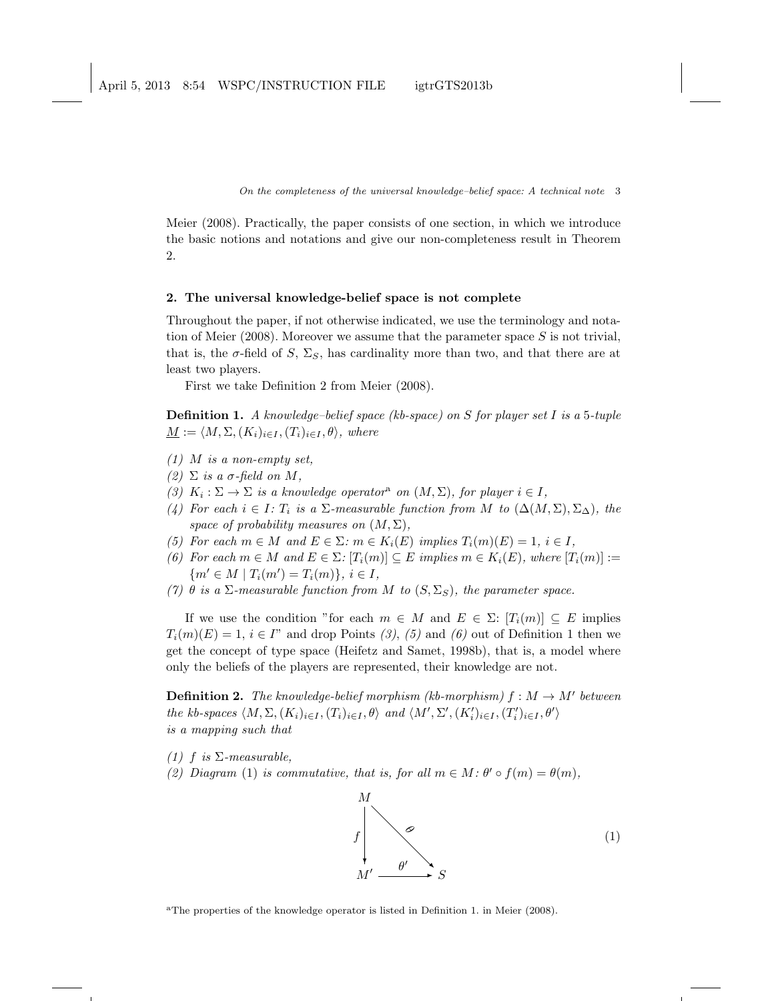On the completeness of the universal knowledge–belief space: A technical note 3

Meier (2008). Practically, the paper consists of one section, in which we introduce the basic notions and notations and give our non-completeness result in Theorem 2.

### 2. The universal knowledge-belief space is not complete

Throughout the paper, if not otherwise indicated, we use the terminology and notation of Meier (2008). Moreover we assume that the parameter space  $S$  is not trivial, that is, the  $\sigma$ -field of S,  $\Sigma$ <sub>S</sub>, has cardinality more than two, and that there are at least two players.

First we take Definition 2 from Meier (2008).

**Definition 1.** A knowledge–belief space (kb-space) on S for player set I is a 5-tuple  $\underline{M} := \langle M, \Sigma, (K_i)_{i \in I} , (T_i)_{i \in I} , \theta \rangle$ , where

- $(1)$  M is a non-empty set,
- (2)  $\Sigma$  is a  $\sigma$ -field on M,
- (3)  $K_i: \Sigma \to \Sigma$  is a knowledge operator<sup>a</sup> on  $(M, \Sigma)$ , for player  $i \in I$ ,
- (4) For each  $i \in I$ :  $T_i$  is a  $\Sigma$ -measurable function from M to  $(\Delta(M, \Sigma), \Sigma_{\Delta})$ , the space of probability measures on  $(M, \Sigma)$ ,
- (5) For each  $m \in M$  and  $E \in \Sigma$ :  $m \in K_i(E)$  implies  $T_i(m)(E) = 1$ ,  $i \in I$ ,
- (6) For each  $m \in M$  and  $E \in \Sigma$ :  $[T_i(m)] \subseteq E$  implies  $m \in K_i(E)$ , where  $[T_i(m)] :=$  ${m' \in M \mid T_i(m') = T_i(m)}, i \in I$
- (7)  $\theta$  is a  $\Sigma$ -measurable function from M to  $(S, \Sigma_S)$ , the parameter space.

If we use the condition "for each  $m \in M$  and  $E \in \Sigma: [T_i(m)] \subseteq E$  implies  $T_i(m)(E) = 1, i \in I^"$  and drop Points (3), (5) and (6) out of Definition 1 then we get the concept of type space (Heifetz and Samet, 1998b), that is, a model where only the beliefs of the players are represented, their knowledge are not.

**Definition 2.** The knowledge-belief morphism (kb-morphism)  $f : M \to M'$  between the kb-spaces  $\langle M, \Sigma, (K_i)_{i \in I}, (T_i)_{i \in I}, \theta \rangle$  and  $\langle M', \Sigma', (K_i')_{i \in I}, (T_i')_{i \in I}, \theta' \rangle$ is a mapping such that

- (1) f is  $\Sigma$ -measurable,
- (2) Diagram (1) is commutative, that is, for all  $m \in M$ :  $\theta' \circ f(m) = \theta(m)$ ,



<sup>a</sup>The properties of the knowledge operator is listed in Definition 1. in Meier (2008).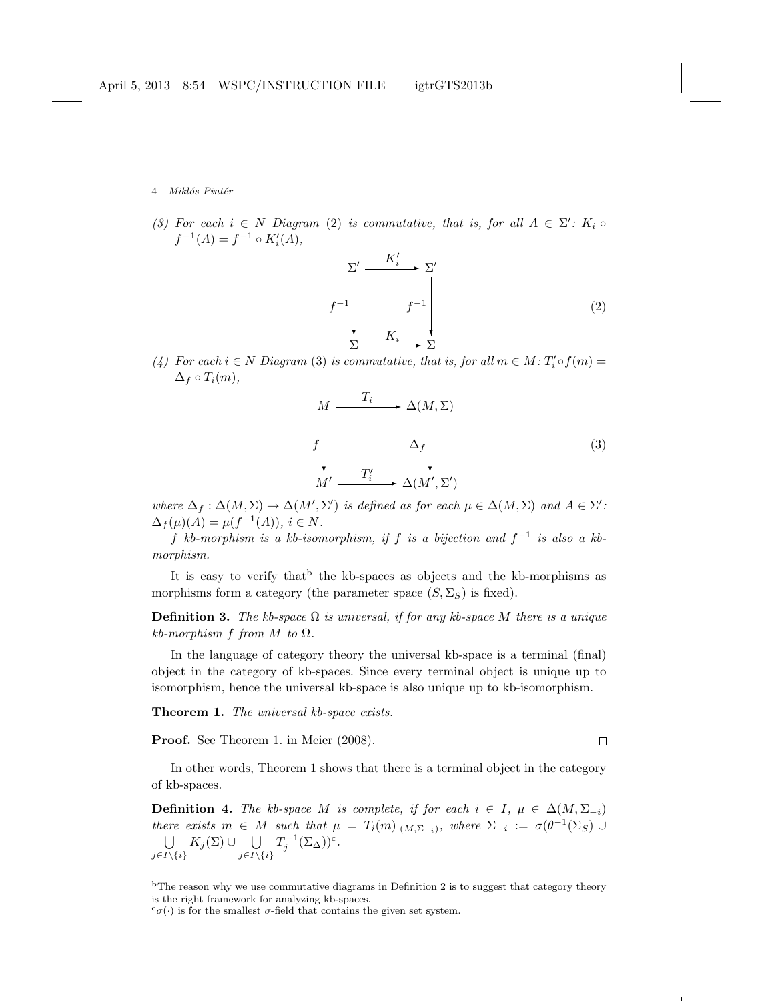4 Miklós Pintér

(3) For each  $i \in N$  Diagram (2) is commutative, that is, for all  $A \in \Sigma'$ :  $K_i \circ$  $f^{-1}(A) = f^{-1} \circ K_i'(A),$ 

$$
f^{-1} \downarrow \qquad f^{-1} \downarrow \qquad f^{-1} \downarrow \qquad (2)
$$
\n
$$
\sum_{\sum_{i=1}^{n} a_i} K_i \downarrow \qquad \sum_{\sum_{i=1}^{n} b_i} \sum_{i=1}^{n} C_i
$$

(4) For each  $i \in N$  Diagram (3) is commutative, that is, for all  $m \in M$ :  $T_i' \circ f(m) =$  $\Delta_f \circ T_i(m)$ ,

$$
M \xrightarrow{T_i} \Delta(M, \Sigma)
$$
\n
$$
f \downarrow \Delta_f
$$
\n
$$
M' \xrightarrow{T_i'} \Delta(M', \Sigma')
$$
\n(3)

where  $\Delta_f : \Delta(M, \Sigma) \to \Delta(M', \Sigma')$  is defined as for each  $\mu \in \Delta(M, \Sigma)$  and  $A \in \Sigma'$ :  $\Delta_f(\mu)(A) = \mu(f^{-1}(A)), i \in N.$ 

f kb-morphism is a kb-isomorphism, if f is a bijection and  $f^{-1}$  is also a kbmorphism.

It is easy to verify that <sup>b</sup> the kb-spaces as objects and the kb-morphisms as morphisms form a category (the parameter space  $(S, \Sigma_S)$ ) is fixed).

**Definition 3.** The kb-space  $\Omega$  is universal, if for any kb-space M there is a unique kb-morphism f from  $M$  to  $\Omega$ .

In the language of category theory the universal kb-space is a terminal (final) object in the category of kb-spaces. Since every terminal object is unique up to isomorphism, hence the universal kb-space is also unique up to kb-isomorphism.

**Theorem 1.** The universal kb-space exists.

Proof. See Theorem 1. in Meier (2008).

 $\Box$ 

In other words, Theorem 1 shows that there is a terminal object in the category of kb-spaces.

**Definition 4.** The kb-space M is complete, if for each  $i \in I$ ,  $\mu \in \Delta(M, \Sigma_{-i})$ there exists  $m \in M$  such that  $\mu = T_i(m)|_{(M,\Sigma_{-i})}$ , where  $\Sigma_{-i} := \sigma(\theta^{-1}(\Sigma_S) \cup$  $\bigcup$   $K_j(\Sigma) \cup$   $\bigcup$  $j\in I\backslash\{i\}$  $j\in I\backslash\{i\}$  $T_j^{-1}(\Sigma_\Delta))^c$ .

<sup>b</sup>The reason why we use commutative diagrams in Definition 2 is to suggest that category theory is the right framework for analyzing kb-spaces.

 $c_{\sigma}(\cdot)$  is for the smallest  $\sigma$ -field that contains the given set system.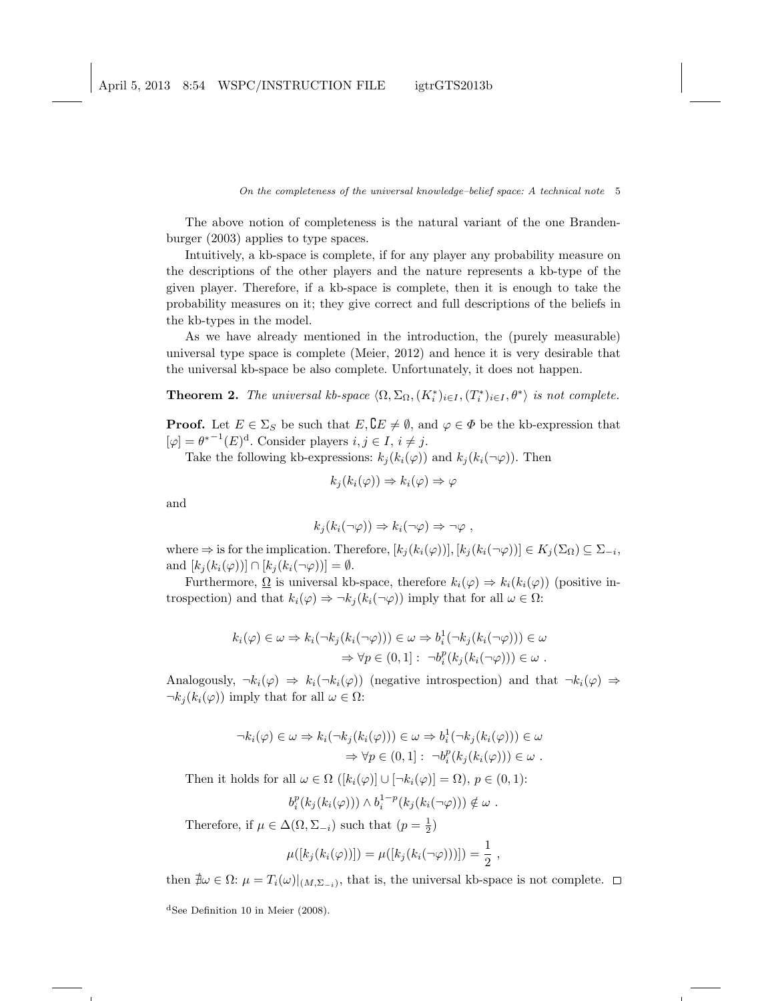April 5, 2013 8:54 WSPC/INSTRUCTION FILE igtrGTS2013b

On the completeness of the universal knowledge–belief space: A technical note 5

The above notion of completeness is the natural variant of the one Brandenburger (2003) applies to type spaces.

Intuitively, a kb-space is complete, if for any player any probability measure on the descriptions of the other players and the nature represents a kb-type of the given player. Therefore, if a kb-space is complete, then it is enough to take the probability measures on it; they give correct and full descriptions of the beliefs in the kb-types in the model.

As we have already mentioned in the introduction, the (purely measurable) universal type space is complete (Meier, 2012) and hence it is very desirable that the universal kb-space be also complete. Unfortunately, it does not happen.

**Theorem 2.** The universal kb-space  $\langle \Omega, \Sigma_{\Omega}, (K_i^*)_{i \in I}, (T_i^*)_{i \in I}, \theta^* \rangle$  is not complete.

**Proof.** Let  $E \in \Sigma_S$  be such that  $E, \mathcal{C} \neq \emptyset$ , and  $\varphi \in \Phi$  be the kb-expression that  $[\varphi] = \theta^{*-1}(E)^d$ . Consider players  $i, j \in I, i \neq j$ .

Take the following kb-expressions:  $k_j (k_i(\varphi))$  and  $k_j (k_i(\neg \varphi))$ . Then

$$
k_j(k_i(\varphi)) \Rightarrow k_i(\varphi) \Rightarrow \varphi
$$

and

$$
k_j(k_i(\neg\varphi)) \Rightarrow k_i(\neg\varphi) \Rightarrow \neg\varphi ,
$$

where  $\Rightarrow$  is for the implication. Therefore,  $[k_j(k_i(\varphi))]$ ,  $[k_j(k_i(\neg \varphi))] \in K_j(\Sigma_\Omega) \subseteq \Sigma_{-i}$ , and  $[k_i(k_i(\varphi))] \cap [k_i(k_i(\neg \varphi))] = \emptyset$ .

Furthermore,  $\Omega$  is universal kb-space, therefore  $k_i(\varphi) \Rightarrow k_i(k_i(\varphi))$  (positive introspection) and that  $k_i(\varphi) \Rightarrow \neg k_j(k_i(\neg \varphi))$  imply that for all  $\omega \in \Omega$ :

$$
k_i(\varphi) \in \omega \Rightarrow k_i(\neg k_j(k_i(\neg \varphi))) \in \omega \Rightarrow b_i^1(\neg k_j(k_i(\neg \varphi))) \in \omega
$$
  

$$
\Rightarrow \forall p \in (0,1]: \neg b_i^p(k_j(k_i(\neg \varphi))) \in \omega.
$$

Analogously,  $\neg k_i(\varphi) \Rightarrow k_i(\neg k_i(\varphi))$  (negative introspection) and that  $\neg k_i(\varphi) \Rightarrow$  $\neg k_i(k_i(\varphi))$  imply that for all  $\omega \in \Omega$ :

$$
\neg k_i(\varphi) \in \omega \Rightarrow k_i(\neg k_j(k_i(\varphi))) \in \omega \Rightarrow b_i^1(\neg k_j(k_i(\varphi))) \in \omega
$$
  

$$
\Rightarrow \forall p \in (0,1]: \neg b_i^p(k_j(k_i(\varphi))) \in \omega.
$$

Then it holds for all  $\omega \in \Omega$  ( $[k_i(\varphi)] \cup [\neg k_i(\varphi)] = \Omega$ ),  $p \in (0,1)$ :

$$
b_i^p(k_j(k_i(\varphi))) \wedge b_i^{1-p}(k_j(k_i(\neg\varphi))) \notin \omega.
$$

Therefore, if  $\mu \in \Delta(\Omega, \Sigma_{-i})$  such that  $(p = \frac{1}{2})$ 

$$
\mu([k_j(k_i(\varphi))]) = \mu([k_j(k_i(\neg\varphi)))]) = \frac{1}{2}
$$

,

then  $\exists \omega \in \Omega: \mu = T_i(\omega)|_{(M,\Sigma_{-i})}$ , that is, the universal kb-space is not complete.

<sup>d</sup>See Definition 10 in Meier (2008).